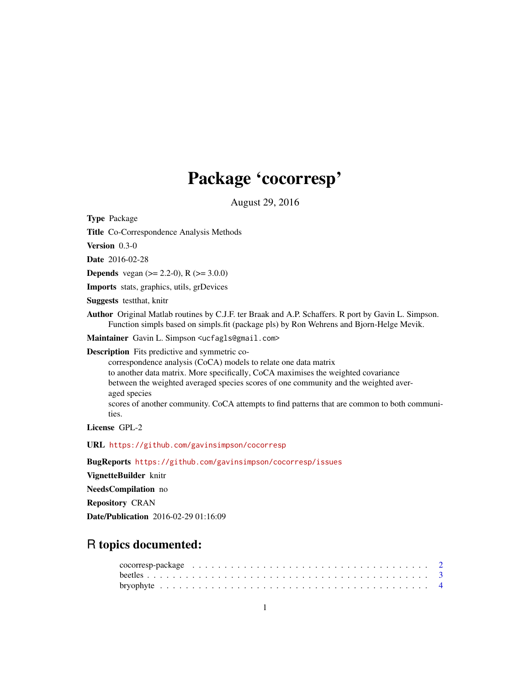# Package 'cocorresp'

August 29, 2016

<span id="page-0-0"></span>Type Package

Title Co-Correspondence Analysis Methods

Version 0.3-0

Date 2016-02-28

**Depends** vegan  $(>= 2.2-0)$ , R  $(>= 3.0.0)$ 

Imports stats, graphics, utils, grDevices

Suggests testthat, knitr

Author Original Matlab routines by C.J.F. ter Braak and A.P. Schaffers. R port by Gavin L. Simpson. Function simpls based on simpls.fit (package pls) by Ron Wehrens and Bjorn-Helge Mevik.

Maintainer Gavin L. Simpson <ucfagls@gmail.com>

Description Fits predictive and symmetric co-

correspondence analysis (CoCA) models to relate one data matrix to another data matrix. More specifically, CoCA maximises the weighted covariance between the weighted averaged species scores of one community and the weighted averaged species scores of another community. CoCA attempts to find patterns that are common to both communities.

License GPL-2

URL <https://github.com/gavinsimpson/cocorresp>

BugReports <https://github.com/gavinsimpson/cocorresp/issues>

VignetteBuilder knitr

NeedsCompilation no

Repository CRAN

Date/Publication 2016-02-29 01:16:09

# R topics documented: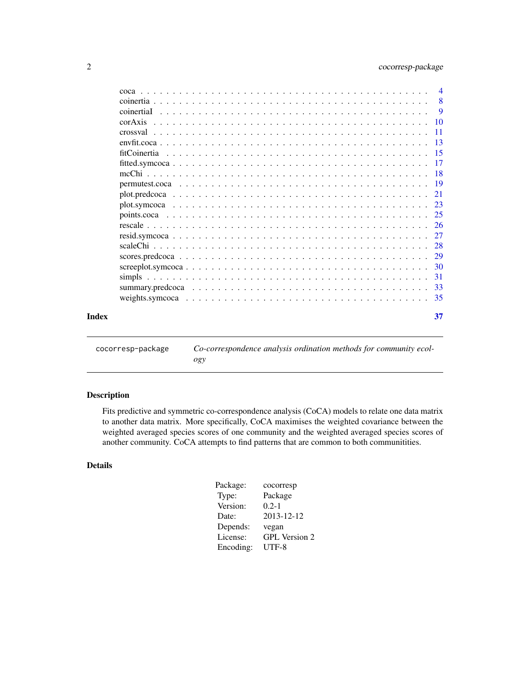<span id="page-1-0"></span>

|       |              | $\overline{4}$ |
|-------|--------------|----------------|
|       |              | $\overline{8}$ |
|       | coinertial   | 9              |
|       |              |                |
|       |              | - 11           |
|       |              |                |
|       | fitCoinertia |                |
|       |              |                |
|       |              |                |
|       |              |                |
|       |              |                |
|       |              |                |
|       |              |                |
|       |              |                |
|       |              |                |
|       |              |                |
|       |              |                |
|       |              |                |
|       |              | -31            |
|       |              |                |
|       |              |                |
| Index |              | 37             |

cocorresp-package *Co-correspondence analysis ordination methods for community ecology*

# Description

Fits predictive and symmetric co-correspondence analysis (CoCA) models to relate one data matrix to another data matrix. More specifically, CoCA maximises the weighted covariance between the weighted averaged species scores of one community and the weighted averaged species scores of another community. CoCA attempts to find patterns that are common to both communitities.

# Details

| Package:  | cocorresp            |
|-----------|----------------------|
| Type:     | Package              |
| Version:  | $0.2 - 1$            |
| Date:     | 2013-12-12           |
| Depends:  | vegan                |
| License:  | <b>GPL</b> Version 2 |
| Encoding: | $UTF-8$              |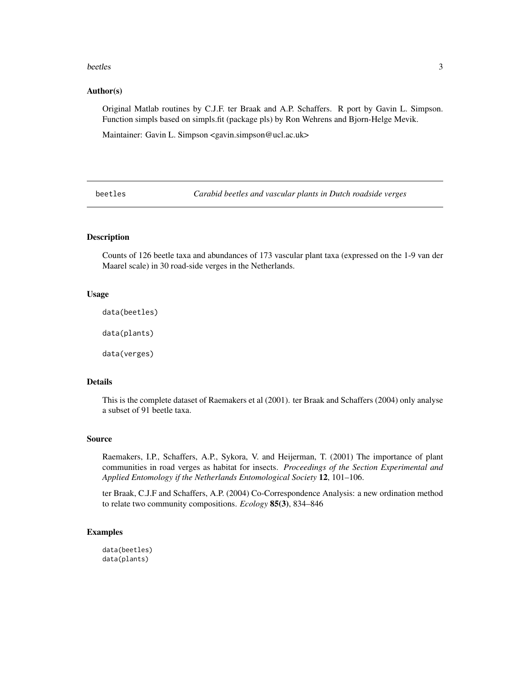#### <span id="page-2-0"></span>beetles 3

#### Author(s)

Original Matlab routines by C.J.F. ter Braak and A.P. Schaffers. R port by Gavin L. Simpson. Function simpls based on simpls.fit (package pls) by Ron Wehrens and Bjorn-Helge Mevik.

Maintainer: Gavin L. Simpson <gavin.simpson@ucl.ac.uk>

beetles *Carabid beetles and vascular plants in Dutch roadside verges*

# **Description**

Counts of 126 beetle taxa and abundances of 173 vascular plant taxa (expressed on the 1-9 van der Maarel scale) in 30 road-side verges in the Netherlands.

#### Usage

data(beetles)

data(plants)

data(verges)

# Details

This is the complete dataset of Raemakers et al (2001). ter Braak and Schaffers (2004) only analyse a subset of 91 beetle taxa.

#### Source

Raemakers, I.P., Schaffers, A.P., Sykora, V. and Heijerman, T. (2001) The importance of plant communities in road verges as habitat for insects. *Proceedings of the Section Experimental and Applied Entomology if the Netherlands Entomological Society* 12, 101–106.

ter Braak, C.J.F and Schaffers, A.P. (2004) Co-Correspondence Analysis: a new ordination method to relate two community compositions. *Ecology* 85(3), 834–846

# Examples

data(beetles) data(plants)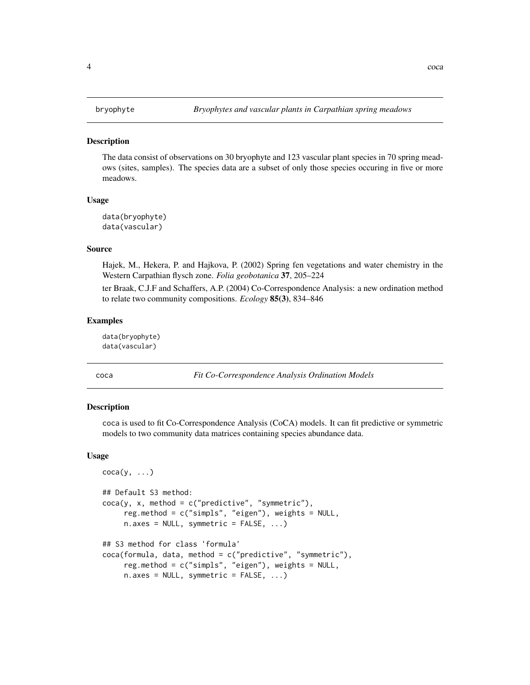#### <span id="page-3-0"></span>**Description**

The data consist of observations on 30 bryophyte and 123 vascular plant species in 70 spring meadows (sites, samples). The species data are a subset of only those species occuring in five or more meadows.

#### Usage

```
data(bryophyte)
data(vascular)
```
#### Source

Hajek, M., Hekera, P. and Hajkova, P. (2002) Spring fen vegetations and water chemistry in the Western Carpathian flysch zone. *Folia geobotanica* 37, 205–224

ter Braak, C.J.F and Schaffers, A.P. (2004) Co-Correspondence Analysis: a new ordination method to relate two community compositions. *Ecology* 85(3), 834–846

#### Examples

data(bryophyte) data(vascular)

<span id="page-3-1"></span>

coca *Fit Co-Correspondence Analysis Ordination Models*

#### Description

coca is used to fit Co-Correspondence Analysis (CoCA) models. It can fit predictive or symmetric models to two community data matrices containing species abundance data.

#### Usage

```
\operatorname{coca}(y, \ldots)## Default S3 method:
coca(y, x, method = c("predictive", "symmetric"),reg.method = c("simpls", "eigen"), weights = NULL,
     n \text{.axes} = \text{NULL}, \text{ symmetric} = \text{FALSE}, \dots## S3 method for class 'formula'
coca(formula, data, method = c("predictive", "symmetric"),
     reg.method = c("simpls", "eigen"), weights = NULL,
     n.axes = NULL, symmetric = FALSE, ...)
```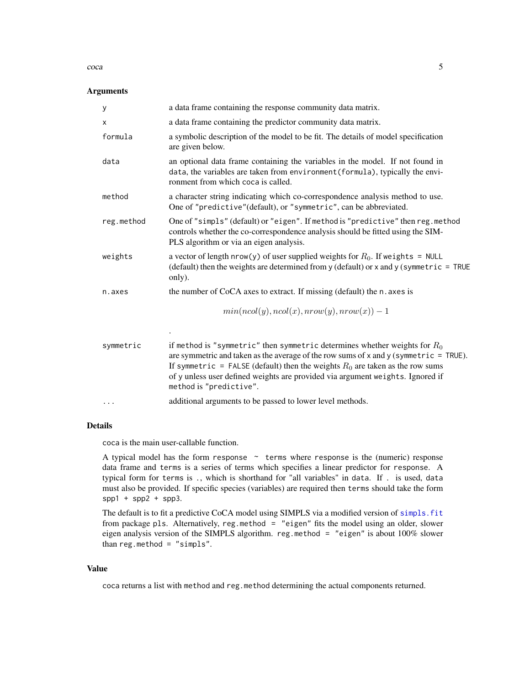<span id="page-4-0"></span> $\cos \theta$  5

#### Arguments

| y          | a data frame containing the response community data matrix.                                                                                                                                                                                                                                                                                                               |
|------------|---------------------------------------------------------------------------------------------------------------------------------------------------------------------------------------------------------------------------------------------------------------------------------------------------------------------------------------------------------------------------|
| X          | a data frame containing the predictor community data matrix.                                                                                                                                                                                                                                                                                                              |
| formula    | a symbolic description of the model to be fit. The details of model specification<br>are given below.                                                                                                                                                                                                                                                                     |
| data       | an optional data frame containing the variables in the model. If not found in<br>data, the variables are taken from environment (formula), typically the envi-<br>ronment from which coca is called.                                                                                                                                                                      |
| method     | a character string indicating which co-correspondence analysis method to use.<br>One of "predictive"(default), or "symmetric", can be abbreviated.                                                                                                                                                                                                                        |
| reg.method | One of "simpls" (default) or "eigen". If method is "predictive" then reg.method<br>controls whether the co-correspondence analysis should be fitted using the SIM-<br>PLS algorithm or via an eigen analysis.                                                                                                                                                             |
| weights    | a vector of length nrow(y) of user supplied weights for $R_0$ . If we ights = NULL<br>(default) then the weights are determined from $y$ (default) or $x$ and $y$ (symmetric = TRUE<br>only).                                                                                                                                                                             |
| n.axes     | the number of CoCA axes to extract. If missing (default) the n. axes is                                                                                                                                                                                                                                                                                                   |
|            | $min(ncol(y), ncol(x), nrow(y), nrow(x)) - 1$                                                                                                                                                                                                                                                                                                                             |
|            |                                                                                                                                                                                                                                                                                                                                                                           |
| symmetric  | if method is "symmetric" then symmetric determines whether weights for $R_0$<br>are symmetric and taken as the average of the row sums of $x$ and $y$ (symmetric = TRUE).<br>If symmetric = FALSE (default) then the weights $R_0$ are taken as the row sums<br>of y unless user defined weights are provided via argument weights. Ignored if<br>method is "predictive". |
| $\cdots$   | additional arguments to be passed to lower level methods.                                                                                                                                                                                                                                                                                                                 |

# Details

coca is the main user-callable function.

A typical model has the form response  $\sim$  terms where response is the (numeric) response data frame and terms is a series of terms which specifies a linear predictor for response. A typical form for terms is ., which is shorthand for "all variables" in data. If . is used, data must also be provided. If specific species (variables) are required then terms should take the form  $spp1 + spp2 + spp3$ .

The default is to fit a predictive CoCA model using SIMPLS via a modified version of simpls. fit from package pls. Alternatively, reg.method = "eigen" fits the model using an older, slower eigen analysis version of the SIMPLS algorithm. reg.method = "eigen" is about 100% slower than  $reg.$  method = "simpls".

#### Value

coca returns a list with method and reg.method determining the actual components returned.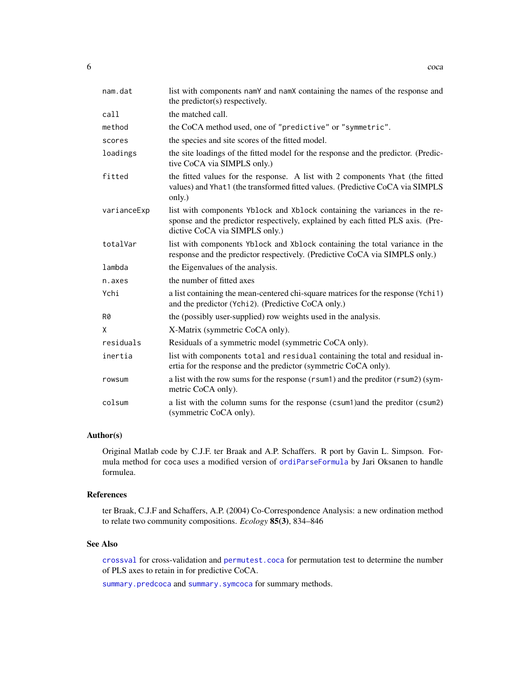<span id="page-5-0"></span>

| nam.dat     | list with components namY and namX containing the names of the response and<br>the predictor(s) respectively.                                                                                   |
|-------------|-------------------------------------------------------------------------------------------------------------------------------------------------------------------------------------------------|
| call        | the matched call.                                                                                                                                                                               |
| method      | the CoCA method used, one of "predictive" or "symmetric".                                                                                                                                       |
| scores      | the species and site scores of the fitted model.                                                                                                                                                |
| loadings    | the site loadings of the fitted model for the response and the predictor. (Predic-<br>tive CoCA via SIMPLS only.)                                                                               |
| fitted      | the fitted values for the response. A list with 2 components Yhat (the fitted<br>values) and Yhat1 (the transformed fitted values. (Predictive CoCA via SIMPLS<br>only.)                        |
| varianceExp | list with components Yblock and Xblock containing the variances in the re-<br>sponse and the predictor respectively, explained by each fitted PLS axis. (Pre-<br>dictive CoCA via SIMPLS only.) |
| totalVar    | list with components Yblock and Xblock containing the total variance in the<br>response and the predictor respectively. (Predictive CoCA via SIMPLS only.)                                      |
| lambda      | the Eigenvalues of the analysis.                                                                                                                                                                |
| n.axes      | the number of fitted axes                                                                                                                                                                       |
| Ychi        | a list containing the mean-centered chi-square matrices for the response (Ychi1)<br>and the predictor (Ychi2). (Predictive CoCA only.)                                                          |
| R0          | the (possibly user-supplied) row weights used in the analysis.                                                                                                                                  |
| X           | X-Matrix (symmetric CoCA only).                                                                                                                                                                 |
| residuals   | Residuals of a symmetric model (symmetric CoCA only).                                                                                                                                           |
| inertia     | list with components total and residual containing the total and residual in-<br>ertia for the response and the predictor (symmetric CoCA only).                                                |
| rowsum      | a list with the row sums for the response (rsum1) and the preditor (rsum2) (sym-<br>metric CoCA only).                                                                                          |
| colsum      | a list with the column sums for the response (csum1) and the preditor (csum2)<br>(symmetric CoCA only).                                                                                         |

# Author(s)

Original Matlab code by C.J.F. ter Braak and A.P. Schaffers. R port by Gavin L. Simpson. Formula method for coca uses a modified version of [ordiParseFormula](#page-0-0) by Jari Oksanen to handle formulea.

# References

ter Braak, C.J.F and Schaffers, A.P. (2004) Co-Correspondence Analysis: a new ordination method to relate two community compositions. *Ecology* 85(3), 834–846

#### See Also

[crossval](#page-10-1) for cross-validation and [permutest.coca](#page-18-1) for permutation test to determine the number of PLS axes to retain in for predictive CoCA.

[summary.predcoca](#page-32-1) and [summary.symcoca](#page-32-2) for summary methods.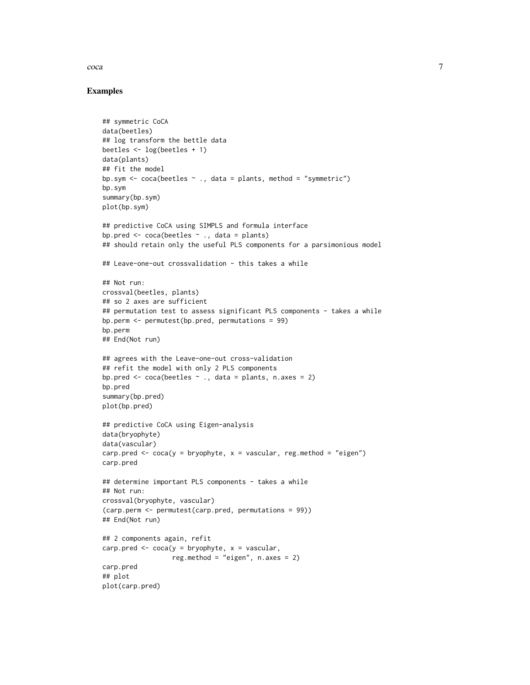coca 7

#### Examples

```
## symmetric CoCA
data(beetles)
## log transform the bettle data
beetles <- log(beetles + 1)
data(plants)
## fit the model
bp.sym \leq coca(beetles \leq ., data = plants, method = "symmetric")
bp.sym
summary(bp.sym)
plot(bp.sym)
## predictive CoCA using SIMPLS and formula interface
bp.pred \leq coca(beetles \sim ., data = plants)
## should retain only the useful PLS components for a parsimonious model
## Leave-one-out crossvalidation - this takes a while
## Not run:
crossval(beetles, plants)
## so 2 axes are sufficient
## permutation test to assess significant PLS components - takes a while
bp.perm <- permutest(bp.pred, permutations = 99)
bp.perm
## End(Not run)
## agrees with the Leave-one-out cross-validation
## refit the model with only 2 PLS components
bp.pred \leq coca(beetles \sim ., data = plants, n.axes = 2)
bp.pred
summary(bp.pred)
plot(bp.pred)
## predictive CoCA using Eigen-analysis
data(bryophyte)
data(vascular)
carp.pred \leq coca(y = bryophyte, x = vascular, reg.method = "eigen")
carp.pred
## determine important PLS components - takes a while
## Not run:
crossval(bryophyte, vascular)
(carp.perm <- permutest(carp.pred, permutations = 99))
## End(Not run)
## 2 components again, refit
carp.pred \leq coca(y = bryophyte, x = vascular,
                  reg.method = "eigen", n \cdot \text{axes} = 2)
carp.pred
## plot
plot(carp.pred)
```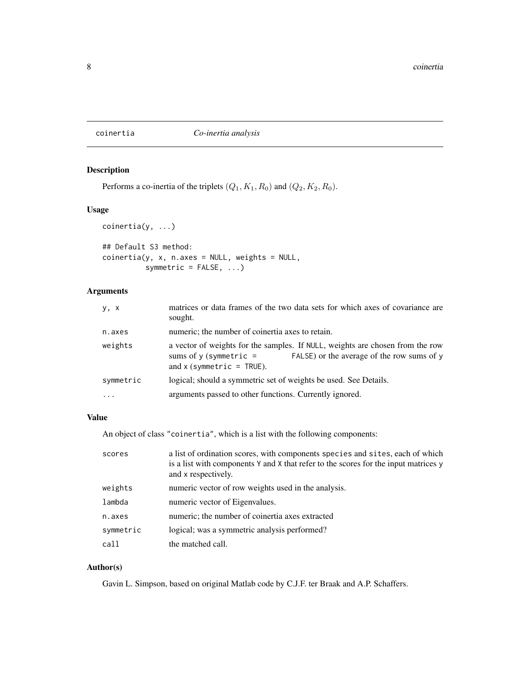# <span id="page-7-1"></span><span id="page-7-0"></span>coinertia *Co-inertia analysis*

# Description

Performs a co-inertia of the triplets  $(Q_1, K_1, R_0)$  and  $(Q_2, K_2, R_0)$ .

# Usage

```
coinertia(y, ...)
```

```
## Default S3 method:
coinertia(y, x, n.axes = NULL, weights = NULL,symmetric = FALSE, ...)
```
# Arguments

| y, x      | matrices or data frames of the two data sets for which axes of covariance are<br>sought.                                                                                               |
|-----------|----------------------------------------------------------------------------------------------------------------------------------------------------------------------------------------|
| n.axes    | numeric; the number of coinertia axes to retain.                                                                                                                                       |
| weights   | a vector of weights for the samples. If NULL, weights are chosen from the row<br>FALSE) or the average of the row sums of y<br>sums of $y$ (symmetric =<br>and $x$ (symmetric = TRUE). |
| symmetric | logical; should a symmetric set of weights be used. See Details.                                                                                                                       |
| .         | arguments passed to other functions. Currently ignored.                                                                                                                                |
|           |                                                                                                                                                                                        |

# Value

An object of class "coinertia", which is a list with the following components:

| scores    | a list of ordination scores, with components species and sites, each of which<br>is a list with components Y and X that refer to the scores for the input matrices y<br>and x respectively. |
|-----------|---------------------------------------------------------------------------------------------------------------------------------------------------------------------------------------------|
| weights   | numeric vector of row weights used in the analysis.                                                                                                                                         |
| lambda    | numeric vector of Eigenvalues.                                                                                                                                                              |
| n.axes    | numeric; the number of coinertia axes extracted                                                                                                                                             |
| symmetric | logical; was a symmetric analysis performed?                                                                                                                                                |
| call      | the matched call.                                                                                                                                                                           |

# Author(s)

Gavin L. Simpson, based on original Matlab code by C.J.F. ter Braak and A.P. Schaffers.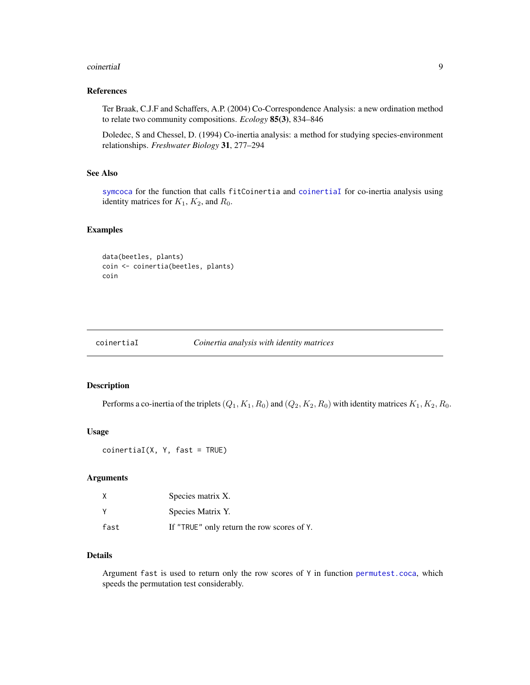#### <span id="page-8-0"></span>coinertiaI 9

#### References

Ter Braak, C.J.F and Schaffers, A.P. (2004) Co-Correspondence Analysis: a new ordination method to relate two community compositions. *Ecology* 85(3), 834–846

Doledec, S and Chessel, D. (1994) Co-inertia analysis: a method for studying species-environment relationships. *Freshwater Biology* 31, 277–294

#### See Also

[symcoca](#page-0-0) for the function that calls fitCoinertia and [coinertiaI](#page-8-1) for co-inertia analysis using identity matrices for  $K_1$ ,  $K_2$ , and  $R_0$ .

#### Examples

```
data(beetles, plants)
coin <- coinertia(beetles, plants)
coin
```
<span id="page-8-1"></span>

coinertiaI *Coinertia analysis with identity matrices*

#### Description

Performs a co-inertia of the triplets  $(Q_1, K_1, R_0)$  and  $(Q_2, K_2, R_0)$  with identity matrices  $K_1, K_2, R_0$ .

#### Usage

```
coinertial(X, Y, fast = TRUE)
```
# Arguments

| X        | Species matrix X.                          |
|----------|--------------------------------------------|
| <b>V</b> | Species Matrix Y.                          |
| fast     | If "TRUE" only return the row scores of Y. |

# Details

Argument fast is used to return only the row scores of  $Y$  in function [permutest.coca](#page-18-1), which speeds the permutation test considerably.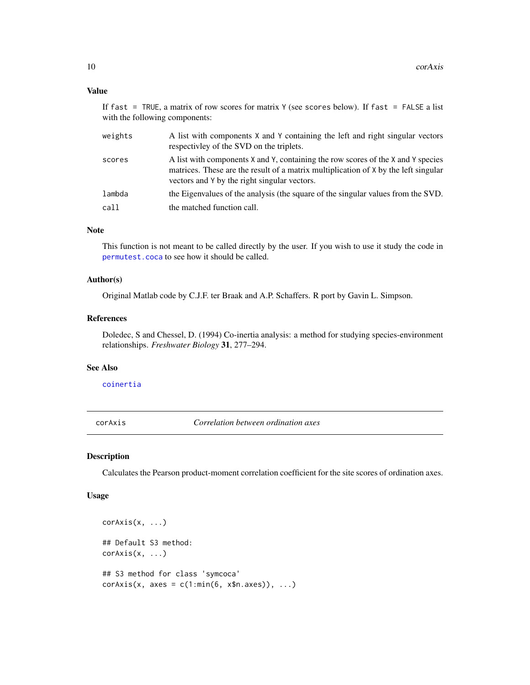#### <span id="page-9-0"></span>Value

If fast = TRUE, a matrix of row scores for matrix Y (see scores below). If fast = FALSE a list with the following components:

| weights | A list with components X and Y containing the left and right singular vectors<br>respectively of the SVD on the triplets.                                                                                               |
|---------|-------------------------------------------------------------------------------------------------------------------------------------------------------------------------------------------------------------------------|
| scores  | A list with components X and Y, containing the row scores of the X and Y species<br>matrices. These are the result of a matrix multiplication of X by the left singular<br>vectors and Y by the right singular vectors. |
| lambda  | the Eigenvalues of the analysis (the square of the singular values from the SVD.                                                                                                                                        |
| call    | the matched function call.                                                                                                                                                                                              |

#### Note

This function is not meant to be called directly by the user. If you wish to use it study the code in [permutest.coca](#page-18-1) to see how it should be called.

#### Author(s)

Original Matlab code by C.J.F. ter Braak and A.P. Schaffers. R port by Gavin L. Simpson.

#### References

Doledec, S and Chessel, D. (1994) Co-inertia analysis: a method for studying species-environment relationships. *Freshwater Biology* 31, 277–294.

#### See Also

[coinertia](#page-7-1)

corAxis *Correlation between ordination axes*

# Description

Calculates the Pearson product-moment correlation coefficient for the site scores of ordination axes.

#### Usage

```
corAxis(x, ...)
## Default S3 method:
corAxis(x, ...)
## S3 method for class 'symcoca'
corAxis(x, axes = c(1:min(6, xfn.axes)), ...)
```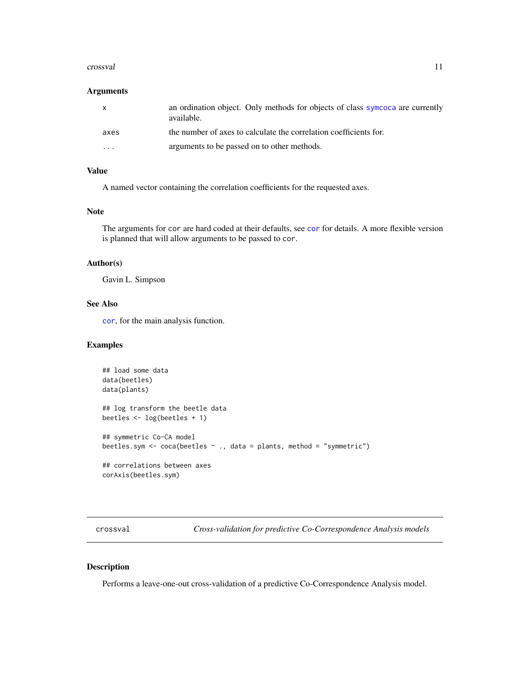#### <span id="page-10-0"></span>crossval and the crossval of the crossval and the crossval and the crossval and the crossval and the crossval of the crossval and the crossval and the crossval and the crossval and the crossval and the crossval and the cro

#### Arguments

| $\mathsf{x}$ | an ordination object. Only methods for objects of class symcoca are currently<br>available. |
|--------------|---------------------------------------------------------------------------------------------|
| axes         | the number of axes to calculate the correlation coefficients for.                           |
| $\cdot$      | arguments to be passed on to other methods.                                                 |

# Value

A named vector containing the correlation coefficients for the requested axes.

#### Note

The arguments for [cor](#page-0-0) are hard coded at their defaults, see cor for details. A more flexible version is planned that will allow arguments to be passed to cor.

### Author(s)

Gavin L. Simpson

# See Also

[cor](#page-0-0), for the main analysis function.

#### Examples

```
## load some data
data(beetles)
data(plants)
## log transform the beetle data
beetles <- log(beetles + 1)
## symmetric Co-CA model
beetles.sym <- coca(beetles ~ ., data = plants, method = "symmetric")
## correlations between axes
corAxis(beetles.sym)
```
<span id="page-10-1"></span>crossval *Cross-validation for predictive Co-Correspondence Analysis models*

# Description

Performs a leave-one-out cross-validation of a predictive Co-Correspondence Analysis model.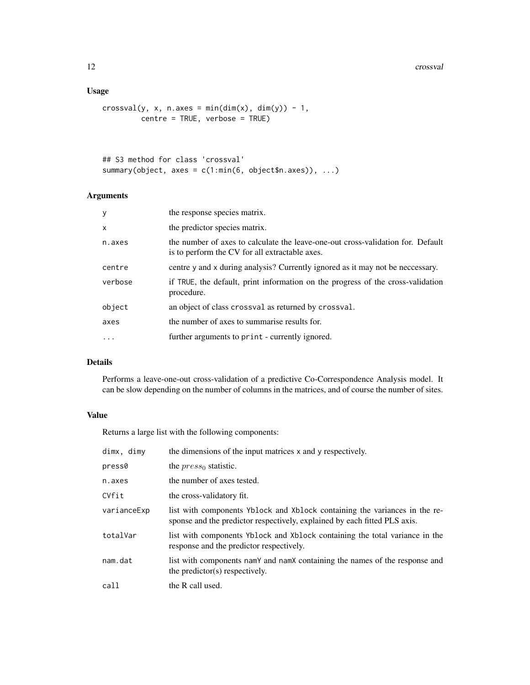#### 12 crossval

# Usage

```
crossval(y, x, n.axes = min(dim(x), dim(y)) - 1,
        centre = TRUE, verbose = TRUE)
```

```
## S3 method for class 'crossval'
summary(object, axes = c(1:min(6, object$n.axes)), ...)
```
# Arguments

| y            | the response species matrix.                                                                                                      |
|--------------|-----------------------------------------------------------------------------------------------------------------------------------|
| $\mathsf{x}$ | the predictor species matrix.                                                                                                     |
| n.axes       | the number of axes to calculate the leave-one-out cross-validation for. Default<br>is to perform the CV for all extractable axes. |
| centre       | centre y and x during analysis? Currently ignored as it may not be neccessary.                                                    |
| verbose      | if TRUE, the default, print information on the progress of the cross-validation<br>procedure.                                     |
| object       | an object of class crossval as returned by crossval.                                                                              |
| axes         | the number of axes to summarise results for.                                                                                      |
| .            | further arguments to print - currently ignored.                                                                                   |
|              |                                                                                                                                   |

# Details

Performs a leave-one-out cross-validation of a predictive Co-Correspondence Analysis model. It can be slow depending on the number of columns in the matrices, and of course the number of sites.

# Value

Returns a large list with the following components:

| dimx, dimy  | the dimensions of the input matrices x and y respectively.                                                                                              |
|-------------|---------------------------------------------------------------------------------------------------------------------------------------------------------|
| press0      | the $press_0$ statistic.                                                                                                                                |
| n.axes      | the number of axes tested.                                                                                                                              |
| CVfit       | the cross-validatory fit.                                                                                                                               |
| varianceExp | list with components Yblock and Xblock containing the variances in the re-<br>sponse and the predictor respectively, explained by each fitted PLS axis. |
| totalVar    | list with components Yblock and Xblock containing the total variance in the<br>response and the predictor respectively.                                 |
| nam.dat     | list with components namY and namX containing the names of the response and<br>the predictor(s) respectively.                                           |
| call        | the R call used.                                                                                                                                        |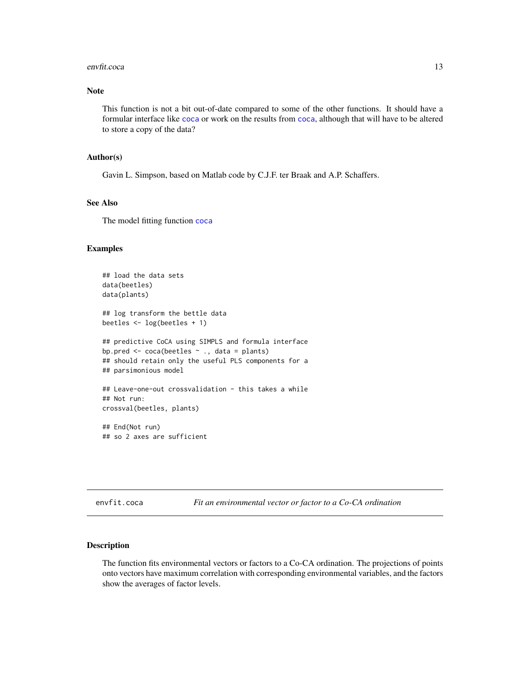#### <span id="page-12-0"></span>envfit.coca 13

#### Note

This function is not a bit out-of-date compared to some of the other functions. It should have a formular interface like [coca](#page-3-1) or work on the results from [coca](#page-3-1), although that will have to be altered to store a copy of the data?

#### Author(s)

Gavin L. Simpson, based on Matlab code by C.J.F. ter Braak and A.P. Schaffers.

#### See Also

The model fitting function [coca](#page-3-1)

#### Examples

```
## load the data sets
data(beetles)
data(plants)
## log transform the bettle data
beetles <- log(beetles + 1)
## predictive CoCA using SIMPLS and formula interface
bp.pred <- coca(beetles ~ ., data = plants)
## should retain only the useful PLS components for a
## parsimonious model
## Leave-one-out crossvalidation - this takes a while
## Not run:
crossval(beetles, plants)
## End(Not run)
## so 2 axes are sufficient
```
<span id="page-12-1"></span>envfit.coca *Fit an environmental vector or factor to a Co-CA ordination*

#### Description

The function fits environmental vectors or factors to a Co-CA ordination. The projections of points onto vectors have maximum correlation with corresponding environmental variables, and the factors show the averages of factor levels.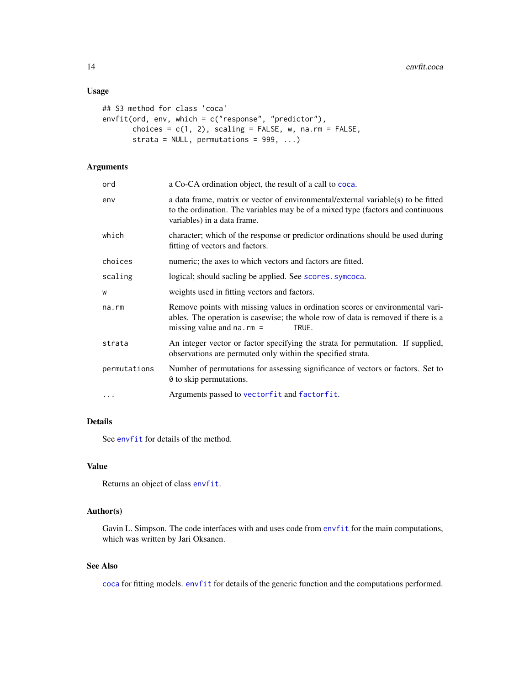# <span id="page-13-0"></span>Usage

```
## S3 method for class 'coca'
envfit(ord, env, which = c("response", "predictor"),
       choices = c(1, 2), scaling = FALSE, w, na.rm = FALSE,
       strata = NULL, permutations = 999, ...)
```
# Arguments

| ord          | a Co-CA ordination object, the result of a call to coca.                                                                                                                                                      |
|--------------|---------------------------------------------------------------------------------------------------------------------------------------------------------------------------------------------------------------|
| env          | a data frame, matrix or vector of environmental/external variable(s) to be fitted<br>to the ordination. The variables may be of a mixed type (factors and continuous<br>variables) in a data frame.           |
| which        | character; which of the response or predictor ordinations should be used during<br>fitting of vectors and factors.                                                                                            |
| choices      | numeric; the axes to which vectors and factors are fitted.                                                                                                                                                    |
| scaling      | logical; should sacling be applied. See scores symcoca.                                                                                                                                                       |
| W            | weights used in fitting vectors and factors.                                                                                                                                                                  |
| na.rm        | Remove points with missing values in ordination scores or environmental vari-<br>ables. The operation is casewise; the whole row of data is removed if there is a<br>missing value and $na$ . $rm =$<br>TRUE. |
| strata       | An integer vector or factor specifying the strata for permutation. If supplied,<br>observations are permuted only within the specified strata.                                                                |
| permutations | Number of permutations for assessing significance of vectors or factors. Set to<br>0 to skip permutations.                                                                                                    |
| .            | Arguments passed to vectorfit and factorfit.                                                                                                                                                                  |
|              |                                                                                                                                                                                                               |

# Details

See [envfit](#page-0-0) for details of the method.

### Value

Returns an object of class [envfit](#page-0-0).

# Author(s)

Gavin L. Simpson. The code interfaces with and uses code from [envfit](#page-0-0) for the main computations, which was written by Jari Oksanen.

# See Also

[coca](#page-3-1) for fitting models. [envfit](#page-0-0) for details of the generic function and the computations performed.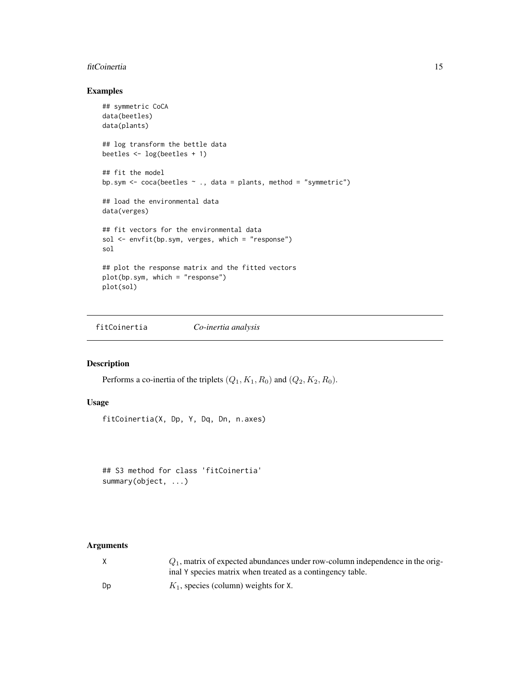#### <span id="page-14-0"></span>fitCoinertia 15

# Examples

```
## symmetric CoCA
data(beetles)
data(plants)
## log transform the bettle data
beetles <- log(beetles + 1)
## fit the model
bp.sym <- coca(beetles ~ ., data = plants, method = "symmetric")
## load the environmental data
data(verges)
## fit vectors for the environmental data
sol <- envfit(bp.sym, verges, which = "response")
sol
## plot the response matrix and the fitted vectors
plot(bp.sym, which = "response")
plot(sol)
```
fitCoinertia *Co-inertia analysis*

# Description

Performs a co-inertia of the triplets  $(Q_1, K_1, R_0)$  and  $(Q_2, K_2, R_0)$ .

# Usage

fitCoinertia(X, Dp, Y, Dq, Dn, n.axes)

## S3 method for class 'fitCoinertia' summary(object, ...)

#### Arguments

|    | $Q_1$ , matrix of expected abundances under row-column independence in the orig- |
|----|----------------------------------------------------------------------------------|
|    | inal Y species matrix when treated as a contingency table.                       |
| Dp | $K_1$ , species (column) weights for X.                                          |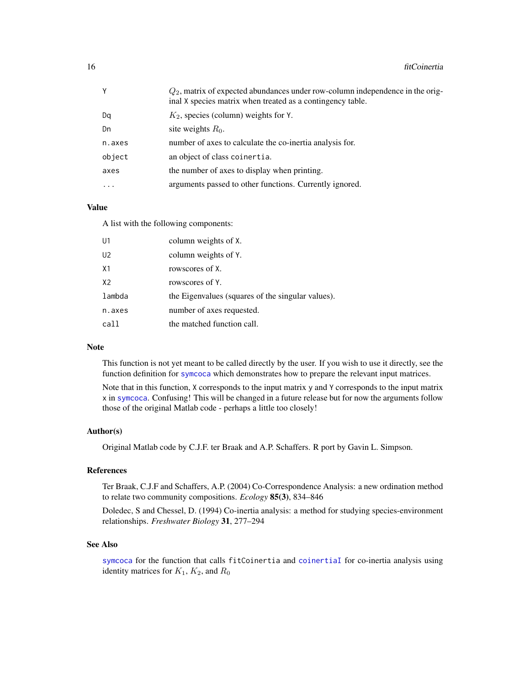<span id="page-15-0"></span>

| γ        | $Q_2$ , matrix of expected abundances under row-column independence in the orig-<br>inal X species matrix when treated as a contingency table. |
|----------|------------------------------------------------------------------------------------------------------------------------------------------------|
| Dq       | $K_2$ , species (column) weights for Y.                                                                                                        |
| Dn       | site weights $R_0$ .                                                                                                                           |
| n.axes   | number of axes to calculate the co-inertia analysis for.                                                                                       |
| object   | an object of class coinertia.                                                                                                                  |
| axes     | the number of axes to display when printing.                                                                                                   |
| $\cdots$ | arguments passed to other functions. Currently ignored.                                                                                        |

#### Value

A list with the following components:

| U1             | column weights of X.                              |
|----------------|---------------------------------------------------|
| U <sub>2</sub> | column weights of Y.                              |
| X <sub>1</sub> | rowscores of X.                                   |
| X <sub>2</sub> | rowscores of Y.                                   |
| lambda         | the Eigenvalues (squares of the singular values). |
| n.axes         | number of axes requested.                         |
| call           | the matched function call.                        |

#### Note

This function is not yet meant to be called directly by the user. If you wish to use it directly, see the function definition for [symcoca](#page-0-0) which demonstrates how to prepare the relevant input matrices.

Note that in this function, X corresponds to the input matrix y and Y corresponds to the input matrix x in [symcoca](#page-0-0). Confusing! This will be changed in a future release but for now the arguments follow those of the original Matlab code - perhaps a little too closely!

#### Author(s)

Original Matlab code by C.J.F. ter Braak and A.P. Schaffers. R port by Gavin L. Simpson.

# References

Ter Braak, C.J.F and Schaffers, A.P. (2004) Co-Correspondence Analysis: a new ordination method to relate two community compositions. *Ecology* 85(3), 834–846

Doledec, S and Chessel, D. (1994) Co-inertia analysis: a method for studying species-environment relationships. *Freshwater Biology* 31, 277–294

#### See Also

[symcoca](#page-0-0) for the function that calls fitCoinertia and [coinertiaI](#page-8-1) for co-inertia analysis using identity matrices for  $K_1$ ,  $K_2$ , and  $R_0$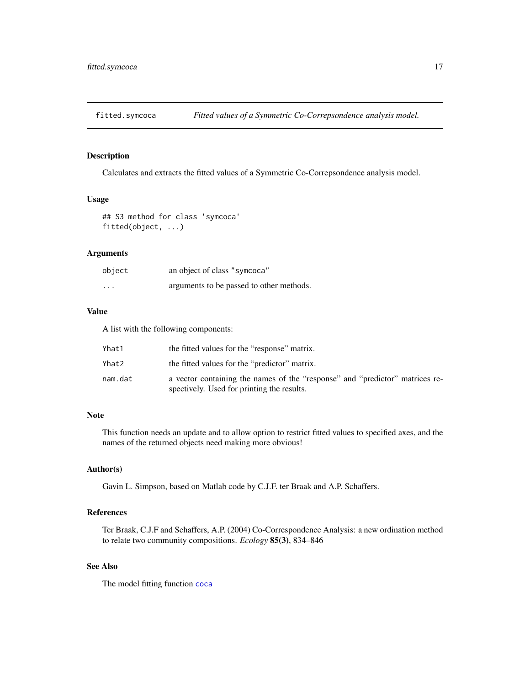<span id="page-16-0"></span>

#### Description

Calculates and extracts the fitted values of a Symmetric Co-Correpsondence analysis model.

# Usage

## S3 method for class 'symcoca' fitted(object, ...)

# Arguments

| object                  | an object of class "symcoca"             |
|-------------------------|------------------------------------------|
| $\cdot$ $\cdot$ $\cdot$ | arguments to be passed to other methods. |

## Value

A list with the following components:

| Yhat1   | the fitted values for the "response" matrix.                                                                               |
|---------|----------------------------------------------------------------------------------------------------------------------------|
| Yhat2   | the fitted values for the "predictor" matrix.                                                                              |
| nam.dat | a vector containing the names of the "response" and "predictor" matrices re-<br>spectively. Used for printing the results. |

# Note

This function needs an update and to allow option to restrict fitted values to specified axes, and the names of the returned objects need making more obvious!

# Author(s)

Gavin L. Simpson, based on Matlab code by C.J.F. ter Braak and A.P. Schaffers.

# References

Ter Braak, C.J.F and Schaffers, A.P. (2004) Co-Correspondence Analysis: a new ordination method to relate two community compositions. *Ecology* 85(3), 834–846

# See Also

The model fitting function [coca](#page-3-1)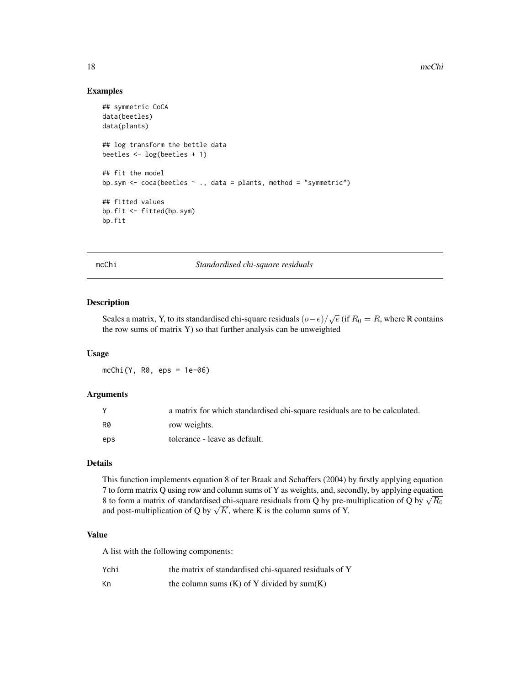#### Examples

```
## symmetric CoCA
data(beetles)
data(plants)
## log transform the bettle data
beetles <- log(beetles + 1)
## fit the model
bp.sym <- coca(beetles ~ ., data = plants, method = "symmetric")
## fitted values
bp.fit <- fitted(bp.sym)
bp.fit
```
mcChi *Standardised chi-square residuals*

#### Description

Scales a matrix, Y, to its standardised chi-square residuals  $(o-e)/\sqrt{e}$  (if  $R_0 = R$ , where R contains the row sums of matrix Y) so that further analysis can be unweighted

#### Usage

mcChi(Y, R0, eps = 1e-06)

# Arguments

|     | a matrix for which standardised chi-square residuals are to be calculated. |
|-----|----------------------------------------------------------------------------|
| R0  | row weights.                                                               |
| eps | tolerance - leave as default.                                              |

# Details

This function implements equation 8 of ter Braak and Schaffers (2004) by firstly applying equation 7 to form matrix Q using row and column sums of Y as weights, and, secondly, by applying equation *A* to form matrix Q using row and column sums of **T** as weights, and, secondly, by applying equation 8 to form a matrix of standardised chi-square residuals from Q by pre-multiplication of Q by  $\sqrt{R_0}$  $\alpha$  to form a matrix of standardised chi-square residuals from Q by pre-n<br>and post-multiplication of Q by  $\sqrt{K}$ , where K is the column sums of Y.

# Value

A list with the following components:

| Ychi | the matrix of standardised chi-squared residuals of Y |
|------|-------------------------------------------------------|
| Кn   | the column sums $(K)$ of Y divided by sum $(K)$       |

<span id="page-17-0"></span>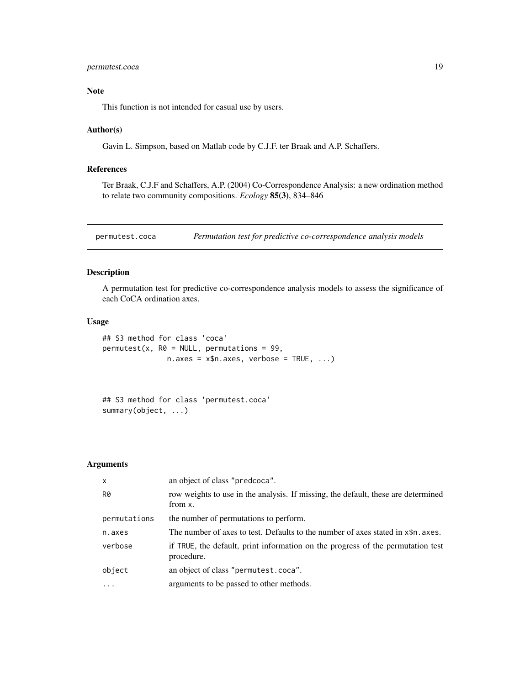# <span id="page-18-0"></span>permutest.coca 19

#### Note

This function is not intended for casual use by users.

#### Author(s)

Gavin L. Simpson, based on Matlab code by C.J.F. ter Braak and A.P. Schaffers.

#### References

Ter Braak, C.J.F and Schaffers, A.P. (2004) Co-Correspondence Analysis: a new ordination method to relate two community compositions. *Ecology* 85(3), 834–846

<span id="page-18-1"></span>permutest.coca *Permutation test for predictive co-correspondence analysis models*

# Description

A permutation test for predictive co-correspondence analysis models to assess the significance of each CoCA ordination axes.

#### Usage

```
## S3 method for class 'coca'
permutest(x, R0 = NULL, permutations = 99,n \text{.axes} = x \text{.axes}, verbose = TRUE, ...)
```

```
## S3 method for class 'permutest.coca'
summary(object, ...)
```
# Arguments

| $\mathsf{x}$ | an object of class "predcoca".                                                                |
|--------------|-----------------------------------------------------------------------------------------------|
| R0           | row weights to use in the analysis. If missing, the default, these are determined<br>from x.  |
| permutations | the number of permutations to perform.                                                        |
| n.axes       | The number of axes to test. Defaults to the number of axes stated in x\$n, axes.              |
| verbose      | if TRUE, the default, print information on the progress of the permutation test<br>procedure. |
| object       | an object of class "permutest.coca".                                                          |
| $\ddotsc$    | arguments to be passed to other methods.                                                      |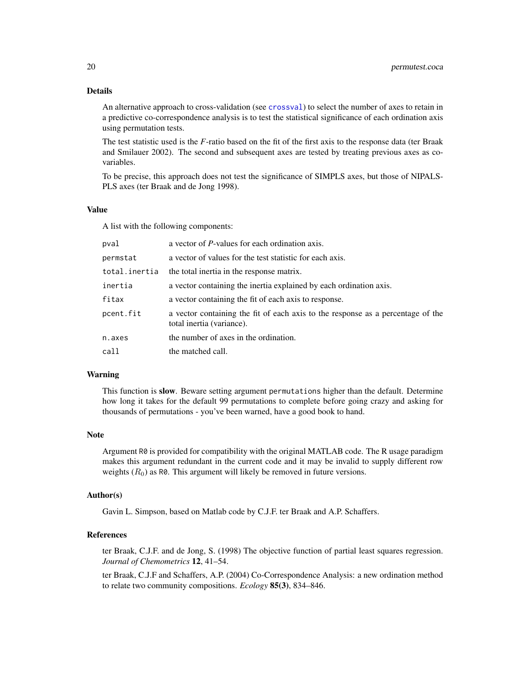# <span id="page-19-0"></span>Details

An alternative approach to cross-validation (see [crossval](#page-10-1)) to select the number of axes to retain in a predictive co-correspondence analysis is to test the statistical significance of each ordination axis using permutation tests.

The test statistic used is the *F*-ratio based on the fit of the first axis to the response data (ter Braak and Smilauer 2002). The second and subsequent axes are tested by treating previous axes as covariables.

To be precise, this approach does not test the significance of SIMPLS axes, but those of NIPALS-PLS axes (ter Braak and de Jong 1998).

#### Value

A list with the following components:

| pval          | a vector of <i>P</i> -values for each ordination axis.                                                       |
|---------------|--------------------------------------------------------------------------------------------------------------|
| permstat      | a vector of values for the test statistic for each axis.                                                     |
| total.inertia | the total inertia in the response matrix.                                                                    |
| inertia       | a vector containing the inertia explained by each ordination axis.                                           |
| fitax         | a vector containing the fit of each axis to response.                                                        |
| pcent.fit     | a vector containing the fit of each axis to the response as a percentage of the<br>total inertia (variance). |
| n.axes        | the number of axes in the ordination.                                                                        |
| call          | the matched call.                                                                                            |

#### Warning

This function is slow. Beware setting argument permutations higher than the default. Determine how long it takes for the default 99 permutations to complete before going crazy and asking for thousands of permutations - you've been warned, have a good book to hand.

#### Note

Argument R0 is provided for compatibility with the original MATLAB code. The R usage paradigm makes this argument redundant in the current code and it may be invalid to supply different row weights  $(R_0)$  as R0. This argument will likely be removed in future versions.

#### Author(s)

Gavin L. Simpson, based on Matlab code by C.J.F. ter Braak and A.P. Schaffers.

# References

ter Braak, C.J.F. and de Jong, S. (1998) The objective function of partial least squares regression. *Journal of Chemometrics* 12, 41–54.

ter Braak, C.J.F and Schaffers, A.P. (2004) Co-Correspondence Analysis: a new ordination method to relate two community compositions. *Ecology* 85(3), 834–846.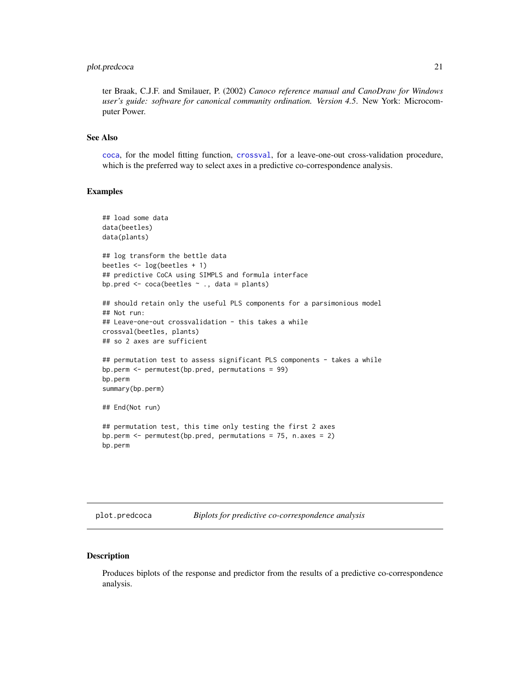# <span id="page-20-0"></span>plot.predcoca 21

ter Braak, C.J.F. and Smilauer, P. (2002) *Canoco reference manual and CanoDraw for Windows user's guide: software for canonical community ordination. Version 4.5*. New York: Microcomputer Power.

# See Also

[coca](#page-3-1), for the model fitting function, [crossval](#page-10-1), for a leave-one-out cross-validation procedure, which is the preferred way to select axes in a predictive co-correspondence analysis.

#### Examples

```
## load some data
data(beetles)
data(plants)
## log transform the bettle data
beetles <- log(beetles + 1)
## predictive CoCA using SIMPLS and formula interface
bp.pred <- coca(beetles ~ ., data = plants)
## should retain only the useful PLS components for a parsimonious model
## Not run:
## Leave-one-out crossvalidation - this takes a while
crossval(beetles, plants)
## so 2 axes are sufficient
## permutation test to assess significant PLS components - takes a while
bp.perm <- permutest(bp.pred, permutations = 99)
bp.perm
summary(bp.perm)
## End(Not run)
## permutation test, this time only testing the first 2 axes
bp.perm <- permutest(bp.pred, permutations = 75, n.axes = 2)
bp.perm
```
<span id="page-20-1"></span>plot.predcoca *Biplots for predictive co-correspondence analysis*

#### Description

Produces biplots of the response and predictor from the results of a predictive co-correspondence analysis.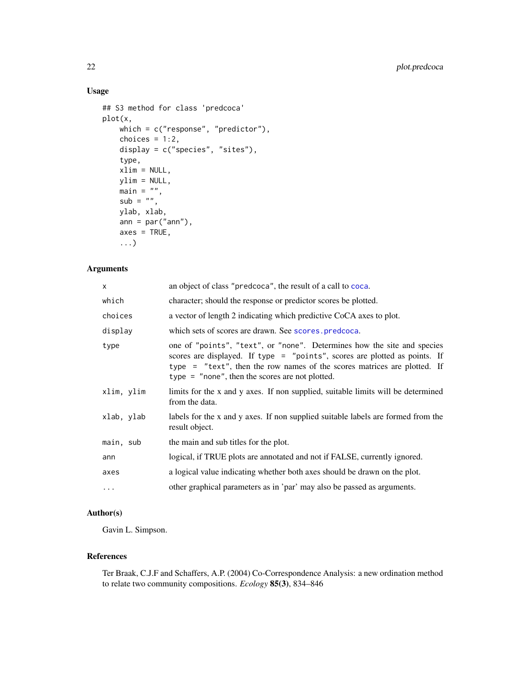# <span id="page-21-0"></span>Usage

```
## S3 method for class 'predcoca'
plot(x,
   which = c("response", "predictor"),choices = 1:2,
   display = c("species", "sites"),
   type,
   xlim = NULL,ylim = NULL,
    main = "",sub = "",ylab, xlab,
   ann = par("ann"),
   axes = TRUE,...)
```
### Arguments

| <b>X</b>   | an object of class "predcoca", the result of a call to coca.                                                                                                                                                                                                                           |
|------------|----------------------------------------------------------------------------------------------------------------------------------------------------------------------------------------------------------------------------------------------------------------------------------------|
| which      | character; should the response or predictor scores be plotted.                                                                                                                                                                                                                         |
| choices    | a vector of length 2 indicating which predictive CoCA axes to plot.                                                                                                                                                                                                                    |
| display    | which sets of scores are drawn. See scores. predcoca.                                                                                                                                                                                                                                  |
| type       | one of "points", "text", or "none". Determines how the site and species<br>scores are displayed. If type = "points", scores are plotted as points. If<br>type = "text", then the row names of the scores matrices are plotted. If<br>type $=$ "none", then the scores are not plotted. |
| xlim, ylim | limits for the x and y axes. If non supplied, suitable limits will be determined<br>from the data.                                                                                                                                                                                     |
| xlab, ylab | labels for the x and y axes. If non supplied suitable labels are formed from the<br>result object.                                                                                                                                                                                     |
| main, sub  | the main and sub titles for the plot.                                                                                                                                                                                                                                                  |
| ann        | logical, if TRUE plots are annotated and not if FALSE, currently ignored.                                                                                                                                                                                                              |
| axes       | a logical value indicating whether both axes should be drawn on the plot.                                                                                                                                                                                                              |
| $\cdots$   | other graphical parameters as in 'par' may also be passed as arguments.                                                                                                                                                                                                                |

# Author(s)

Gavin L. Simpson.

# References

Ter Braak, C.J.F and Schaffers, A.P. (2004) Co-Correspondence Analysis: a new ordination method to relate two community compositions. *Ecology* 85(3), 834–846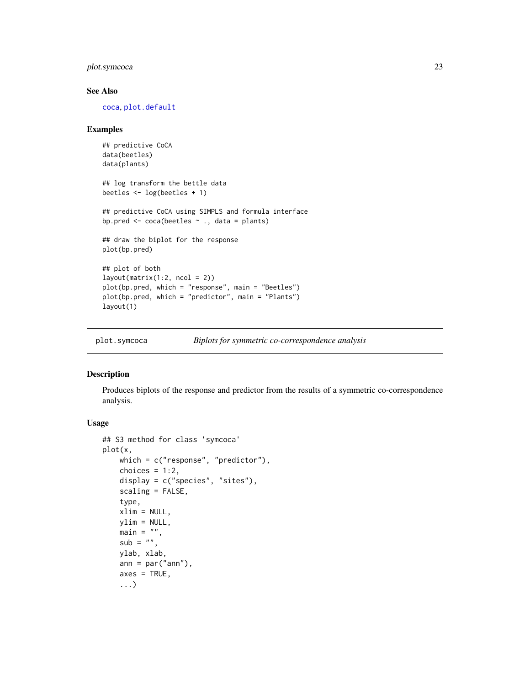# <span id="page-22-0"></span>plot.symcoca 23

#### See Also

[coca](#page-3-1), [plot.default](#page-0-0)

#### Examples

```
## predictive CoCA
data(beetles)
data(plants)
## log transform the bettle data
beetles <- log(beetles + 1)
## predictive CoCA using SIMPLS and formula interface
bp.pred \leq coca(beetles \sim ., data = plants)
## draw the biplot for the response
plot(bp.pred)
## plot of both
layout(matrix(1:2, ncol = 2))plot(bp.pred, which = "response", main = "Beetles")
plot(bp.pred, which = "predictor", main = "Plants")
layout(1)
```
<span id="page-22-1"></span>plot.symcoca *Biplots for symmetric co-correspondence analysis*

#### Description

Produces biplots of the response and predictor from the results of a symmetric co-correspondence analysis.

### Usage

```
## S3 method for class 'symcoca'
plot(x,
   which = c("response", "predictor"),
   choices = 1:2,
   display = c("species", "sites"),
   scaling = FALSE,
   type,
   xlim = NULL,ylim = NULL,
   main = "",sub = "",ylab, xlab,
   ann = par("ann"),
   axes = TRUE,...)
```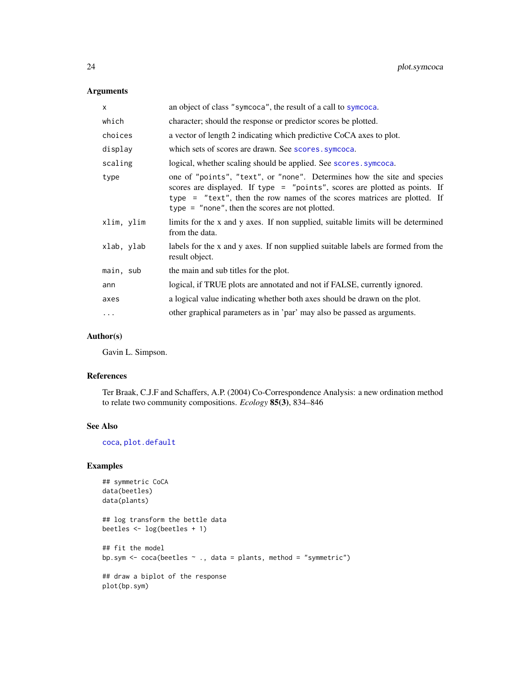# <span id="page-23-0"></span>Arguments

| X          | an object of class "symcoca", the result of a call to symcoca.                                                                                                                                                                                                                         |
|------------|----------------------------------------------------------------------------------------------------------------------------------------------------------------------------------------------------------------------------------------------------------------------------------------|
| which      | character; should the response or predictor scores be plotted.                                                                                                                                                                                                                         |
| choices    | a vector of length 2 indicating which predictive CoCA axes to plot.                                                                                                                                                                                                                    |
| display    | which sets of scores are drawn. See scores symcoca.                                                                                                                                                                                                                                    |
| scaling    | logical, whether scaling should be applied. See scores. symcoca.                                                                                                                                                                                                                       |
| type       | one of "points", "text", or "none". Determines how the site and species<br>scores are displayed. If type = "points", scores are plotted as points. If<br>type = "text", then the row names of the scores matrices are plotted. If<br>type $=$ "none", then the scores are not plotted. |
| xlim, ylim | limits for the x and y axes. If non supplied, suitable limits will be determined<br>from the data.                                                                                                                                                                                     |
| xlab, ylab | labels for the x and y axes. If non supplied suitable labels are formed from the<br>result object.                                                                                                                                                                                     |
| main, sub  | the main and sub titles for the plot.                                                                                                                                                                                                                                                  |
| ann        | logical, if TRUE plots are annotated and not if FALSE, currently ignored.                                                                                                                                                                                                              |
| axes       | a logical value indicating whether both axes should be drawn on the plot.                                                                                                                                                                                                              |
| $\cdots$   | other graphical parameters as in 'par' may also be passed as arguments.                                                                                                                                                                                                                |

#### Author(s)

Gavin L. Simpson.

# References

Ter Braak, C.J.F and Schaffers, A.P. (2004) Co-Correspondence Analysis: a new ordination method to relate two community compositions. *Ecology* 85(3), 834–846

# See Also

[coca](#page-3-1), [plot.default](#page-0-0)

# Examples

```
## symmetric CoCA
data(beetles)
data(plants)
## log transform the bettle data
beetles <- log(beetles + 1)
## fit the model
bp.sym \le coca(beetles \sim ., data = plants, method = "symmetric")
## draw a biplot of the response
plot(bp.sym)
```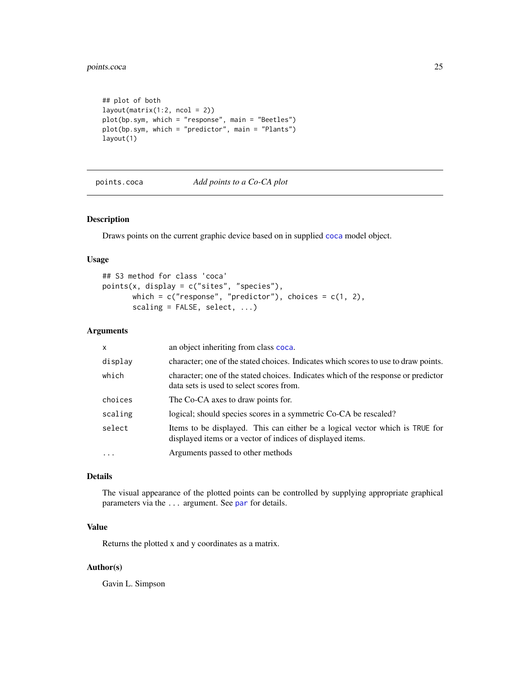# <span id="page-24-0"></span>points.coca 25

```
## plot of both
layout(matrix(1:2, ncol = 2))
plot(bp.sym, which = "response", main = "Beetles")
plot(bp.sym, which = "predictor", main = "Plants")
layout(1)
```
points.coca *Add points to a Co-CA plot*

# Description

Draws points on the current graphic device based on in supplied [coca](#page-3-1) model object.

#### Usage

```
## S3 method for class 'coca'
points(x, display = c("sites", "species"),
      which = c("response", "predictor"), choices = c(1, 2),scaling = FALSE, select, ...)
```
#### Arguments

| $\mathsf{x}$ | an object inheriting from class coca.                                                                                                      |
|--------------|--------------------------------------------------------------------------------------------------------------------------------------------|
| display      | character; one of the stated choices. Indicates which scores to use to draw points.                                                        |
| which        | character; one of the stated choices. Indicates which of the response or predictor<br>data sets is used to select scores from.             |
| choices      | The Co-CA axes to draw points for.                                                                                                         |
| scaling      | logical; should species scores in a symmetric Co-CA be rescaled?                                                                           |
| select       | Items to be displayed. This can either be a logical vector which is TRUE for<br>displayed items or a vector of indices of displayed items. |
| $\cdot$      | Arguments passed to other methods                                                                                                          |

# Details

The visual appearance of the plotted points can be controlled by supplying appropriate graphical parameters via the ... argument. See [par](#page-0-0) for details.

#### Value

Returns the plotted x and y coordinates as a matrix.

# Author(s)

Gavin L. Simpson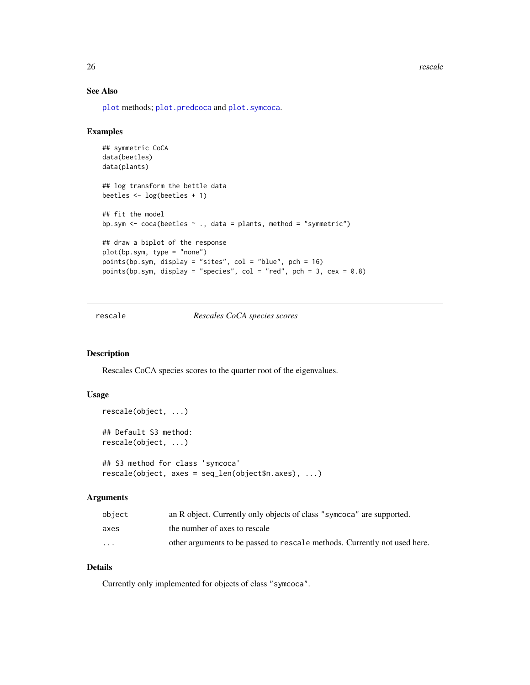<span id="page-25-0"></span>26 rescale and the set of the set of the set of the set of the set of the set of the set of the set of the set of the set of the set of the set of the set of the set of the set of the set of the set of the set of the set o

# See Also

[plot](#page-0-0) methods; [plot.predcoca](#page-20-1) and [plot.symcoca](#page-22-1).

#### Examples

```
## symmetric CoCA
data(beetles)
data(plants)
## log transform the bettle data
beetles <- log(beetles + 1)
## fit the model
bp.sym <- coca(beetles ~ ., data = plants, method = "symmetric")
## draw a biplot of the response
plot(bp.sym, type = "none")
points(bp.sym, display = "sites", col = "blue", pch = 16)
points(bp.sym, display = "species", col = "red", pch = 3, cex = 0.8)
```
rescale *Rescales CoCA species scores*

#### <span id="page-25-1"></span>Description

Rescales CoCA species scores to the quarter root of the eigenvalues.

#### Usage

```
rescale(object, ...)
## Default S3 method:
rescale(object, ...)
## S3 method for class 'symcoca'
rescale(object, axes = seq_len(object$n.axes), ...)
```
#### Arguments

| object   | an R object. Currently only objects of class "symcoca" are supported.     |
|----------|---------------------------------------------------------------------------|
| axes     | the number of axes to rescale                                             |
| $\cdots$ | other arguments to be passed to rescale methods. Currently not used here. |

# Details

Currently only implemented for objects of class "symcoca".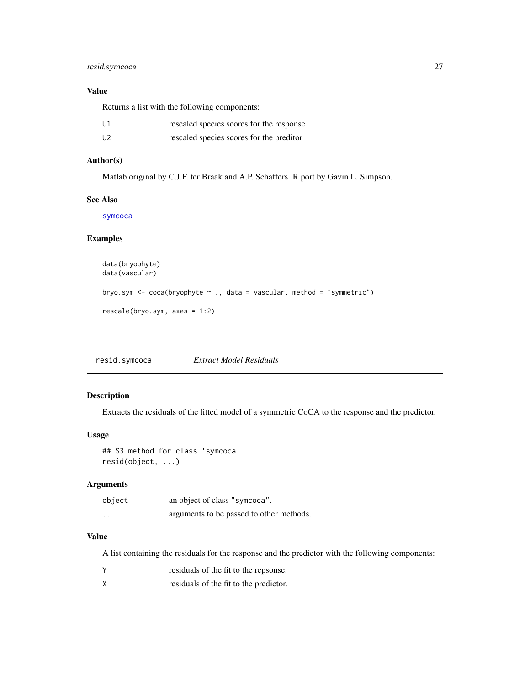# <span id="page-26-0"></span>resid.symcoca 27

# Value

Returns a list with the following components:

| U1             | rescaled species scores for the response |
|----------------|------------------------------------------|
| U <sub>2</sub> | rescaled species scores for the preditor |

# Author(s)

Matlab original by C.J.F. ter Braak and A.P. Schaffers. R port by Gavin L. Simpson.

#### See Also

[symcoca](#page-0-0)

# Examples

```
data(bryophyte)
data(vascular)
bryo.sym <- coca(bryophyte ~ ., data = vascular, method = "symmetric")
rescale(bryo.sym, axes = 1:2)
```
resid.symcoca *Extract Model Residuals*

# Description

Extracts the residuals of the fitted model of a symmetric CoCA to the response and the predictor.

# Usage

## S3 method for class 'symcoca' resid(object, ...)

#### Arguments

| object   | an object of class "symcoca".            |
|----------|------------------------------------------|
| $\cdots$ | arguments to be passed to other methods. |

#### Value

A list containing the residuals for the response and the predictor with the following components:

- Y residuals of the fit to the repsonse.
- X residuals of the fit to the predictor.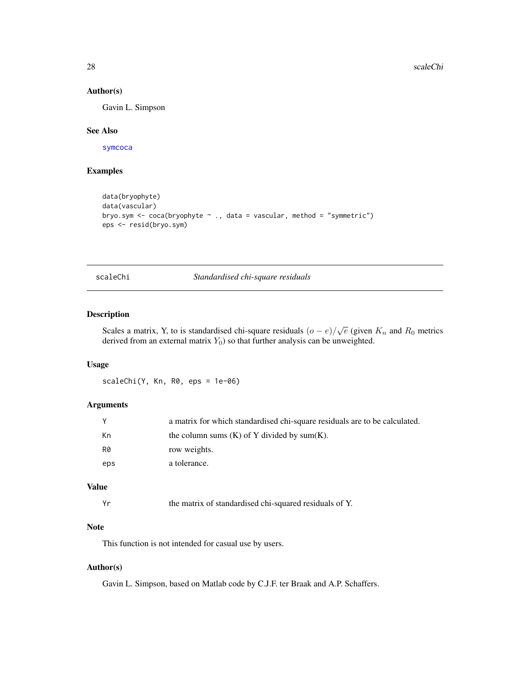#### Author(s)

Gavin L. Simpson

#### See Also

[symcoca](#page-0-0)

# Examples

```
data(bryophyte)
data(vascular)
bryo.sym <- coca(bryophyte ~ ., data = vascular, method = "symmetric")
eps <- resid(bryo.sym)
```
scaleChi *Standardised chi-square residuals*

# Description

Scales a matrix, Y, to is standardised chi-square residuals  $(o-e)/\sqrt{e}$  (given  $K_n$  and  $R_0$  metrics derived from an external matrix  $Y_0$ ) so that further analysis can be unweighted.

#### Usage

scaleChi(Y, Kn, R0, eps = 1e-06)

# Arguments

|     | a matrix for which standardised chi-square residuals are to be calculated. |
|-----|----------------------------------------------------------------------------|
| Кn  | the column sums $(K)$ of Y divided by sum $(K)$ .                          |
| R0  | row weights.                                                               |
| eps | a tolerance.                                                               |

# Value

| Υr | the matrix of standardised chi-squared residuals of Y. |  |
|----|--------------------------------------------------------|--|
|----|--------------------------------------------------------|--|

#### Note

This function is not intended for casual use by users.

# Author(s)

Gavin L. Simpson, based on Matlab code by C.J.F. ter Braak and A.P. Schaffers.

<span id="page-27-0"></span>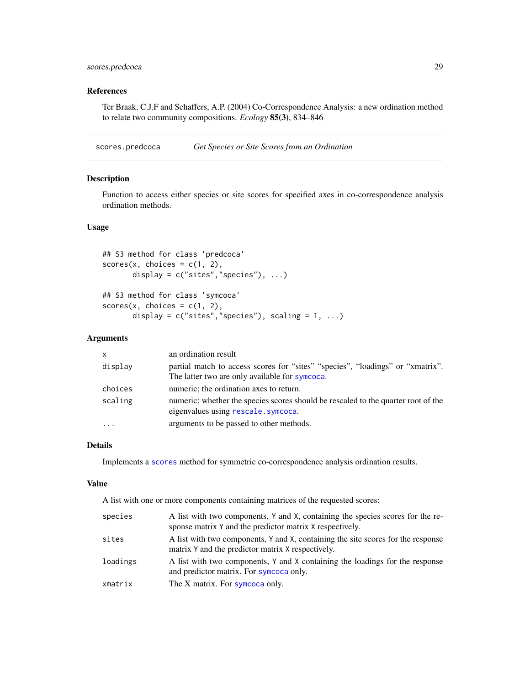# <span id="page-28-0"></span>scores.predcoca 29

# References

Ter Braak, C.J.F and Schaffers, A.P. (2004) Co-Correspondence Analysis: a new ordination method to relate two community compositions. *Ecology* 85(3), 834–846

<span id="page-28-2"></span>scores.predcoca *Get Species or Site Scores from an Ordination*

# <span id="page-28-1"></span>Description

Function to access either species or site scores for specified axes in co-correspondence analysis ordination methods.

# Usage

```
## S3 method for class 'predcoca'
scores(x, choices = c(1, 2),display = c("sites","species"), ...)
```

```
## S3 method for class 'symcoca'
scores(x, choices = c(1, 2),display = c("sites", "species"), scaling = 1, ...)
```
## Arguments

| $\mathsf{x}$        | an ordination result                                                                                                             |
|---------------------|----------------------------------------------------------------------------------------------------------------------------------|
| display             | partial match to access scores for "sites" "species", "loadings" or "xmatrix".<br>The latter two are only available for symcoca. |
| choices             | numeric; the ordination axes to return.                                                                                          |
| scaling             | numeric; whether the species scores should be rescaled to the quarter root of the<br>eigenvalues using rescale.symcoca.          |
| $\cdot \cdot \cdot$ | arguments to be passed to other methods.                                                                                         |

#### Details

Implements a [scores](#page-0-0) method for symmetric co-correspondence analysis ordination results.

#### Value

A list with one or more components containing matrices of the requested scores:

| species  | A list with two components, Y and X, containing the species scores for the re-                                                        |
|----------|---------------------------------------------------------------------------------------------------------------------------------------|
|          | sponse matrix Y and the predictor matrix X respectively.                                                                              |
| sites    | A list with two components, Y and X, containing the site scores for the response<br>matrix Y and the predictor matrix X respectively. |
| loadings | A list with two components, Y and X containing the loadings for the response<br>and predictor matrix. For symcoca only.               |
| xmatrix  | The X matrix. For symcoca only.                                                                                                       |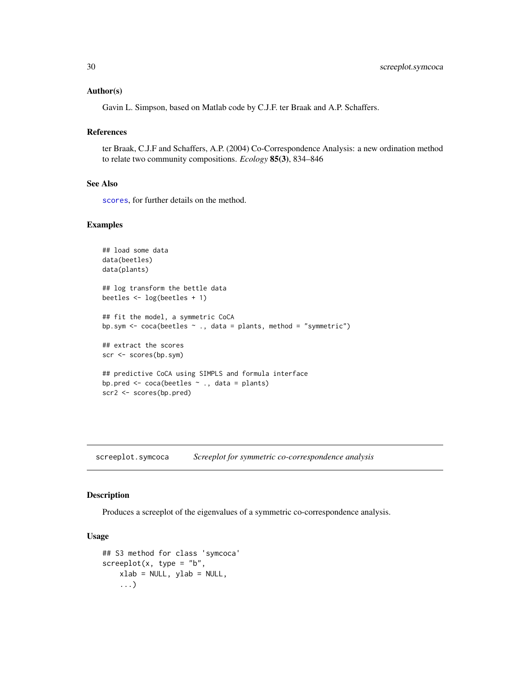#### <span id="page-29-0"></span>Author(s)

Gavin L. Simpson, based on Matlab code by C.J.F. ter Braak and A.P. Schaffers.

#### References

ter Braak, C.J.F and Schaffers, A.P. (2004) Co-Correspondence Analysis: a new ordination method to relate two community compositions. *Ecology* 85(3), 834–846

#### See Also

[scores](#page-0-0), for further details on the method.

# Examples

```
## load some data
data(beetles)
data(plants)
## log transform the bettle data
beetles <- log(beetles + 1)
## fit the model, a symmetric CoCA
bp.sym \leq coca(beetles \sim ., data = plants, method = "symmetric")
## extract the scores
scr <- scores(bp.sym)
## predictive CoCA using SIMPLS and formula interface
bp.pred \leq coca(beetles \sim ., data = plants)
scr2 <- scores(bp.pred)
```
screeplot.symcoca *Screeplot for symmetric co-correspondence analysis*

#### Description

Produces a screeplot of the eigenvalues of a symmetric co-correspondence analysis.

#### Usage

```
## S3 method for class 'symcoca'
screeplot(x, type = "b",xlab = NULL, ylab = NULL,...)
```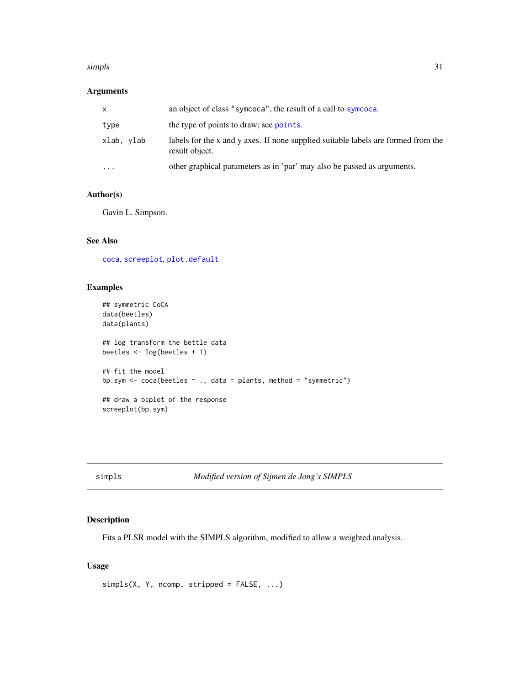#### <span id="page-30-0"></span>simpls 31

# Arguments

| x          | an object of class "symcoca", the result of a call to symcoca.                                      |
|------------|-----------------------------------------------------------------------------------------------------|
| type       | the type of points to draw; see points.                                                             |
| xlab. vlab | labels for the x and y axes. If none supplied suitable labels are formed from the<br>result object. |
| $\cdots$   | other graphical parameters as in 'par' may also be passed as arguments.                             |
|            |                                                                                                     |

# Author(s)

Gavin L. Simpson.

# See Also

[coca](#page-3-1), [screeplot](#page-0-0), [plot.default](#page-0-0)

#### Examples

```
## symmetric CoCA
data(beetles)
data(plants)
## log transform the bettle data
beetles <- log(beetles + 1)
## fit the model
bp.sym \le coca(beetles \sim ., data = plants, method = "symmetric")
## draw a biplot of the response
screeplot(bp.sym)
```
simpls *Modified version of Sijmen de Jong's SIMPLS*

#### Description

Fits a PLSR model with the SIMPLS algorithm, modified to allow a weighted analysis.

# Usage

 $simpls(X, Y, ncomp, stripped = FALSE, ...)$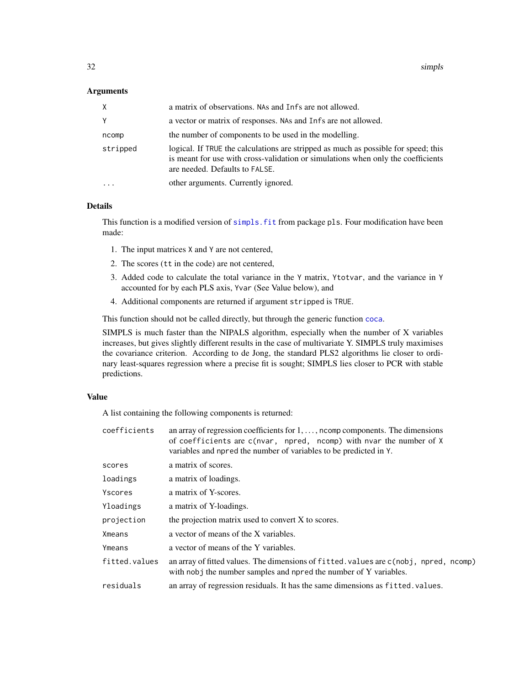#### <span id="page-31-0"></span>**Arguments**

| X.        | a matrix of observations. NAs and Infs are not allowed.                                                                                                                                                  |
|-----------|----------------------------------------------------------------------------------------------------------------------------------------------------------------------------------------------------------|
| Υ         | a vector or matrix of responses. NAs and Infs are not allowed.                                                                                                                                           |
| ncomp     | the number of components to be used in the modelling.                                                                                                                                                    |
| stripped  | logical. If TRUE the calculations are stripped as much as possible for speed; this<br>is meant for use with cross-validation or simulations when only the coefficients<br>are needed. Defaults to FALSE. |
| $\ddotsc$ | other arguments. Currently ignored.                                                                                                                                                                      |

# Details

This function is a modified version of simpls. fit from package pls. Four modification have been made:

- 1. The input matrices X and Y are not centered,
- 2. The scores (tt in the code) are not centered,
- 3. Added code to calculate the total variance in the Y matrix, Ytotvar, and the variance in Y accounted for by each PLS axis, Yvar (See Value below), and
- 4. Additional components are returned if argument stripped is TRUE.

This function should not be called directly, but through the generic function [coca](#page-3-1).

SIMPLS is much faster than the NIPALS algorithm, especially when the number of X variables increases, but gives slightly different results in the case of multivariate Y. SIMPLS truly maximises the covariance criterion. According to de Jong, the standard PLS2 algorithms lie closer to ordinary least-squares regression where a precise fit is sought; SIMPLS lies closer to PCR with stable predictions.

#### Value

A list containing the following components is returned:

| an array of regression coefficients for $1, \ldots$ , noomp components. The dimensions<br>of coefficients are c(nvar, npred, ncomp) with nvar the number of X<br>variables and npred the number of variables to be predicted in Y. |
|------------------------------------------------------------------------------------------------------------------------------------------------------------------------------------------------------------------------------------|
| a matrix of scores.                                                                                                                                                                                                                |
| a matrix of loadings.                                                                                                                                                                                                              |
| a matrix of Y-scores.                                                                                                                                                                                                              |
| a matrix of Y-loadings.                                                                                                                                                                                                            |
| the projection matrix used to convert X to scores.                                                                                                                                                                                 |
| a vector of means of the X variables.                                                                                                                                                                                              |
| a vector of means of the Y variables.                                                                                                                                                                                              |
| an array of fitted values. The dimensions of fitted values are c(nobj, npred, ncomp)<br>with nobj the number samples and npred the number of Y variables.                                                                          |
| an array of regression residuals. It has the same dimensions as fitted, values.                                                                                                                                                    |
|                                                                                                                                                                                                                                    |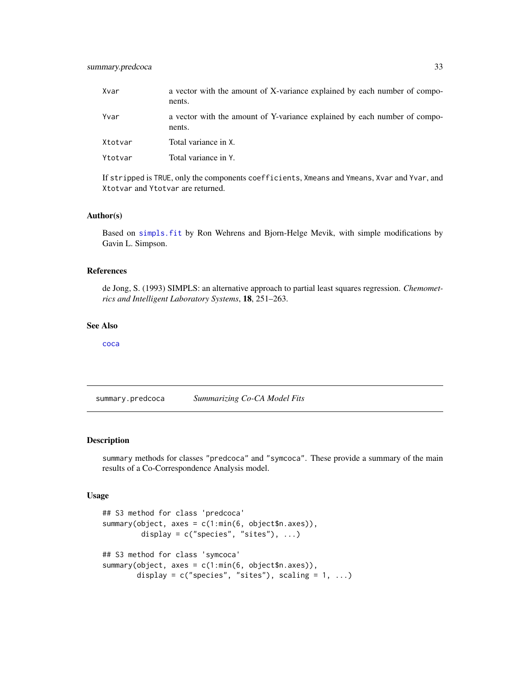<span id="page-32-0"></span>

| Xvar    | a vector with the amount of X-variance explained by each number of compo-<br>nents. |
|---------|-------------------------------------------------------------------------------------|
| Yvar    | a vector with the amount of Y-variance explained by each number of compo-<br>nents. |
| Xtotvar | Total variance in X.                                                                |
| Ytotvar | Total variance in Y.                                                                |

If stripped is TRUE, only the components coefficients, Xmeans and Ymeans, Xvar and Yvar, and Xtotvar and Ytotvar are returned.

#### Author(s)

Based on [simpls.fit](#page-0-0) by Ron Wehrens and Bjorn-Helge Mevik, with simple modifications by Gavin L. Simpson.

#### References

de Jong, S. (1993) SIMPLS: an alternative approach to partial least squares regression. *Chemometrics and Intelligent Laboratory Systems*, 18, 251–263.

#### See Also

[coca](#page-3-1)

<span id="page-32-1"></span>summary.predcoca *Summarizing Co-CA Model Fits*

#### <span id="page-32-2"></span>Description

summary methods for classes "predcoca" and "symcoca". These provide a summary of the main results of a Co-Correspondence Analysis model.

#### Usage

```
## S3 method for class 'predcoca'
summary(object, axes = c(1:min(6, object$n.axes)),
         display = c("species", "sites"), ...## S3 method for class 'symcoca'
summary(object, axes = c(1:min(6, object$n.axes)),
       display = c("species", "sites"), scaling = 1, ...)
```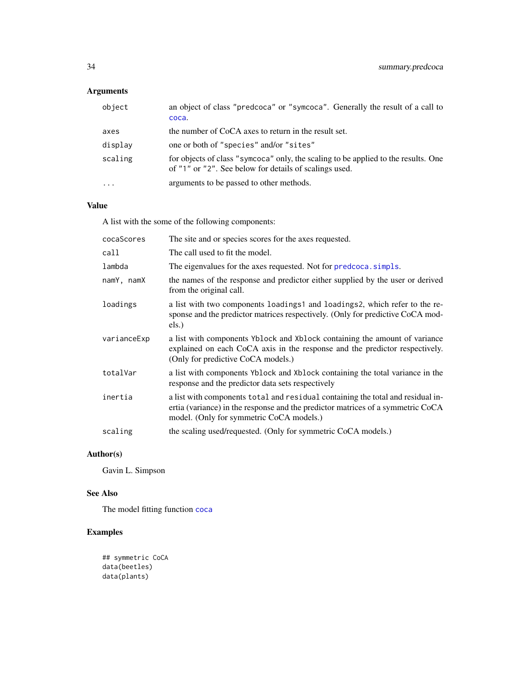# <span id="page-33-0"></span>Arguments

| object    | an object of class "predcoca" or "symcoca". Generally the result of a call to<br>coca.                                                       |
|-----------|----------------------------------------------------------------------------------------------------------------------------------------------|
| axes      | the number of CoCA axes to return in the result set.                                                                                         |
| display   | one or both of "species" and/or "sites"                                                                                                      |
| scaling   | for objects of class "symcoca" only, the scaling to be applied to the results. One<br>of "1" or "2". See below for details of scalings used. |
| $\ddotsc$ | arguments to be passed to other methods.                                                                                                     |

# Value

A list with the some of the following components:

| cocaScores  | The site and or species scores for the axes requested.                                                                                                                                                         |
|-------------|----------------------------------------------------------------------------------------------------------------------------------------------------------------------------------------------------------------|
| call        | The call used to fit the model.                                                                                                                                                                                |
| lambda      | The eigenvalues for the axes requested. Not for predcoca simpls.                                                                                                                                               |
| namY, namX  | the names of the response and predictor either supplied by the user or derived<br>from the original call.                                                                                                      |
| loadings    | a list with two components loadings1 and loadings2, which refer to the re-<br>sponse and the predictor matrices respectively. (Only for predictive CoCA mod-<br>els.)                                          |
| varianceExp | a list with components Yblock and Xblock containing the amount of variance<br>explained on each CoCA axis in the response and the predictor respectively.<br>(Only for predictive CoCA models.)                |
| totalVar    | a list with components Yblock and Xblock containing the total variance in the<br>response and the predictor data sets respectively                                                                             |
| inertia     | a list with components total and residual containing the total and residual in-<br>ertia (variance) in the response and the predictor matrices of a symmetric CoCA<br>model. (Only for symmetric CoCA models.) |
| scaling     | the scaling used/requested. (Only for symmetric CoCA models.)                                                                                                                                                  |

# Author(s)

Gavin L. Simpson

# See Also

The model fitting function [coca](#page-3-1)

# Examples

```
## symmetric CoCA
data(beetles)
data(plants)
```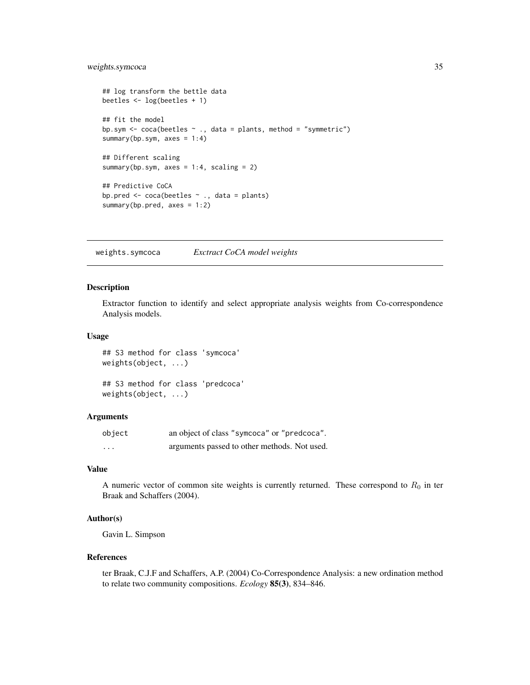# <span id="page-34-0"></span>weights.symcoca 35

```
## log transform the bettle data
beetles <- log(beetles + 1)
## fit the model
bp.sym <- coca(beetles ~ ., data = plants, method = "symmetric")
summary(bp.sym, axes = 1:4)
## Different scaling
summary(bp.sym, axes = 1:4, scaling = 2)
## Predictive CoCA
bp.pred <- coca(beetles ~ ., data = plants)
summary(bp.pred, axes = 1:2)
```
weights.symcoca *Exctract CoCA model weights*

#### **Description**

Extractor function to identify and select appropriate analysis weights from Co-correspondence Analysis models.

#### Usage

## S3 method for class 'symcoca' weights(object, ...)

## S3 method for class 'predcoca' weights(object, ...)

#### Arguments

| object   | an object of class "symcoca" or "predcoca".  |
|----------|----------------------------------------------|
| $\cdots$ | arguments passed to other methods. Not used. |

#### Value

A numeric vector of common site weights is currently returned. These correspond to  $R_0$  in ter Braak and Schaffers (2004).

#### Author(s)

Gavin L. Simpson

#### References

ter Braak, C.J.F and Schaffers, A.P. (2004) Co-Correspondence Analysis: a new ordination method to relate two community compositions. *Ecology* 85(3), 834–846.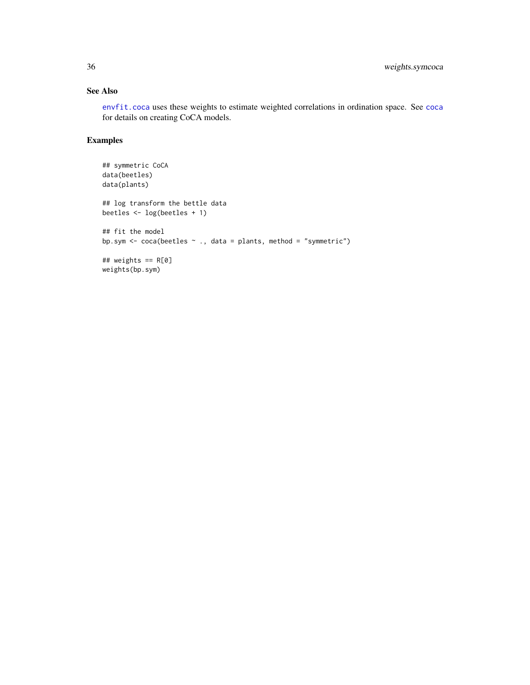# <span id="page-35-0"></span>See Also

[envfit.coca](#page-12-1) uses these weights to estimate weighted correlations in ordination space. See [coca](#page-3-1) for details on creating CoCA models.

# Examples

```
## symmetric CoCA
data(beetles)
data(plants)
## log transform the bettle data
beetles <- log(beetles + 1)
## fit the model
bp.sym <- coca(beetles ~ ., data = plants, method = "symmetric")
## weights == R[0]
weights(bp.sym)
```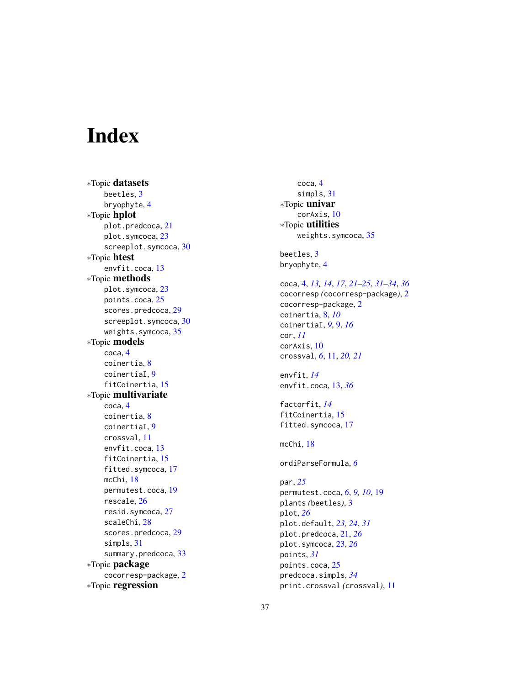# <span id="page-36-0"></span>Index

∗Topic datasets beetles , [3](#page-2-0) bryophyte, [4](#page-3-0) ∗Topic hplot plot.predcoca , [21](#page-20-0) plot.symcoca, [23](#page-22-0) screeplot.symcoca , [30](#page-29-0) ∗Topic htest envfit.coca , [13](#page-12-0) ∗Topic methods plot.symcoca, [23](#page-22-0) points.coca, 2<mark>5</mark> scores.predcoca , [29](#page-28-0) screeplot.symcoca , [30](#page-29-0) weights.symcoca , [35](#page-34-0) ∗Topic models coca , [4](#page-3-0) coinertia , [8](#page-7-0) coinertiaI , [9](#page-8-0) fitCoinertia , [15](#page-14-0) ∗Topic multivariate coca , [4](#page-3-0) coinertia , [8](#page-7-0) coinertiaI , [9](#page-8-0) crossval , [11](#page-10-0) envfit.coca , [13](#page-12-0) fitCoinertia, [15](#page-14-0) fitted.symcoca , [17](#page-16-0) mcChi , [18](#page-17-0) permutest.coca , [19](#page-18-0) rescale , [26](#page-25-0) resid.symcoca, [27](#page-26-0) scaleChi , [28](#page-27-0) scores.predcoca , [29](#page-28-0) simpls, [31](#page-30-0) summary.predcoca , [33](#page-32-0) ∗Topic package cocorresp-package , [2](#page-1-0) ∗Topic regression

coca , [4](#page-3-0) simpls, [31](#page-30-0) ∗Topic univar corAxis , [10](#page-9-0) ∗Topic utilities weights.symcoca, [35](#page-34-0) beetles , [3](#page-2-0) bryophyte , [4](#page-3-0) coca , [4](#page-3-0) , *[13](#page-12-0) , [14](#page-13-0)* , *[17](#page-16-0)* , *[21](#page-20-0) [–25](#page-24-0)* , *[31](#page-30-0) [–34](#page-33-0)* , *[36](#page-35-0)* cocorresp *(*cocorresp-package *)* , [2](#page-1-0) cocorresp-package , [2](#page-1-0) coinertia , [8](#page-7-0) , *[10](#page-9-0)* coinertiaI , *[9](#page-8-0)* , [9](#page-8-0) , *[16](#page-15-0)* cor , *[11](#page-10-0)* corAxis , [10](#page-9-0) crossval , *[6](#page-5-0)* , [11](#page-10-0) , *[20](#page-19-0) , [21](#page-20-0)* envfit , *[14](#page-13-0)* envfit.coca , [13](#page-12-0) , *[36](#page-35-0)* factorfit , *[14](#page-13-0)* fitCoinertia , [15](#page-14-0) fitted.symcoca , [17](#page-16-0) mcChi , [18](#page-17-0) ordiParseFormula , *[6](#page-5-0)* par , *[25](#page-24-0)* permutest.coca , *[6](#page-5-0)* , *[9](#page-8-0) , [10](#page-9-0)* , [19](#page-18-0) plants *(*beetles *)* , [3](#page-2-0) plot , *[26](#page-25-0)* plot.default , *[23](#page-22-0) , [24](#page-23-0)* , *[31](#page-30-0)* plot.predcoca , [21](#page-20-0) , *[26](#page-25-0)* plot.symcoca , [23](#page-22-0) , *[26](#page-25-0)* points , *[31](#page-30-0)* points.coca , [25](#page-24-0) predcoca.simpls , *[34](#page-33-0)* print.crossval *(*crossval *)* , [11](#page-10-0)